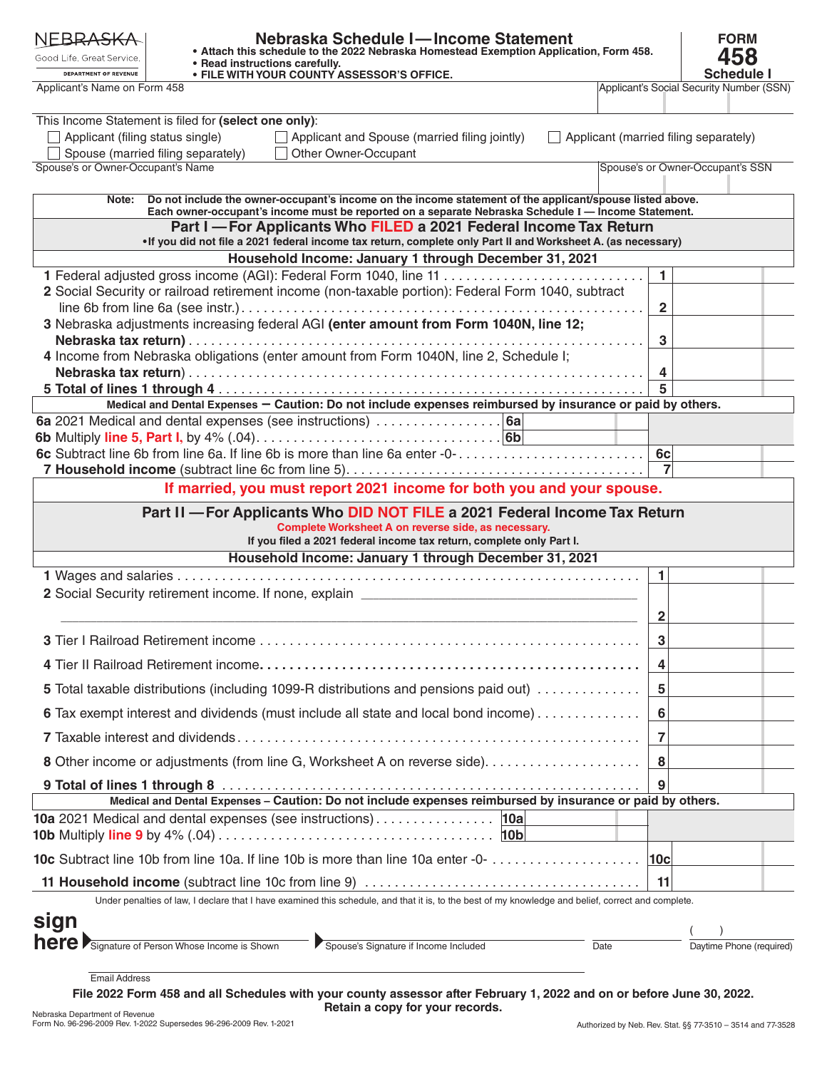| NEBRA <del>SK</del> A<br>Good Life. Great Service.<br>DEPARTMENT OF REVENUE                                 | Nebraska Schedule I-Income Statement<br>. Attach this schedule to the 2022 Nebraska Homestead Exemption Application, Form 458.<br>• Read instructions carefully.<br>• FILE WITH YOUR COUNTY ASSESSOR'S OFFICE. |                         | <b>FORM</b><br>458<br><b>Schedule I</b>  |
|-------------------------------------------------------------------------------------------------------------|----------------------------------------------------------------------------------------------------------------------------------------------------------------------------------------------------------------|-------------------------|------------------------------------------|
| Applicant's Name on Form 458                                                                                |                                                                                                                                                                                                                |                         | Applicant's Social Security Number (SSN) |
| Applicant (filing status single)<br>Spouse (married filing separately)<br>Spouse's or Owner-Occupant's Name | This Income Statement is filed for (select one only):<br>$\Box$ Applicant and Spouse (married filing jointly)<br>Applicant (married filing separately)<br>Other Owner-Occupant                                 |                         | Spouse's or Owner-Occupant's SSN         |
|                                                                                                             |                                                                                                                                                                                                                |                         |                                          |
| Note:                                                                                                       | Do not include the owner-occupant's income on the income statement of the applicant/spouse listed above.                                                                                                       |                         |                                          |
|                                                                                                             | Each owner-occupant's income must be reported on a separate Nebraska Schedule I - Income Statement.<br>Part I - For Applicants Who FILED a 2021 Federal Income Tax Return                                      |                         |                                          |
|                                                                                                             | . If you did not file a 2021 federal income tax return, complete only Part II and Worksheet A. (as necessary)                                                                                                  |                         |                                          |
|                                                                                                             | Household Income: January 1 through December 31, 2021                                                                                                                                                          | $\mathbf{1}$            |                                          |
|                                                                                                             | 2 Social Security or railroad retirement income (non-taxable portion): Federal Form 1040, subtract                                                                                                             |                         |                                          |
|                                                                                                             |                                                                                                                                                                                                                | $\overline{\mathbf{2}}$ |                                          |
|                                                                                                             | 3 Nebraska adjustments increasing federal AGI (enter amount from Form 1040N, line 12;                                                                                                                          |                         |                                          |
|                                                                                                             |                                                                                                                                                                                                                | $\mathbf{3}$            |                                          |
|                                                                                                             | 4 Income from Nebraska obligations (enter amount from Form 1040N, line 2, Schedule I;                                                                                                                          | 4                       |                                          |
|                                                                                                             |                                                                                                                                                                                                                | 5                       |                                          |
|                                                                                                             | Medical and Dental Expenses - Caution: Do not include expenses reimbursed by insurance or paid by others.                                                                                                      |                         |                                          |
|                                                                                                             |                                                                                                                                                                                                                |                         |                                          |
|                                                                                                             | 6c Subtract line 6b from line 6a. If line 6b is more than line 6a enter -0-                                                                                                                                    | 6c                      |                                          |
|                                                                                                             |                                                                                                                                                                                                                |                         |                                          |
|                                                                                                             | If married, you must report 2021 income for both you and your spouse.                                                                                                                                          |                         |                                          |
|                                                                                                             | Part II - For Applicants Who DID NOT FILE a 2021 Federal Income Tax Return<br>Complete Worksheet A on reverse side, as necessary.<br>If you filed a 2021 federal income tax return, complete only Part I.      |                         |                                          |
|                                                                                                             | Household Income: January 1 through December 31, 2021                                                                                                                                                          |                         |                                          |
|                                                                                                             | 2 Social Security retirement income. If none, explain __________________________                                                                                                                               | 1.                      |                                          |
|                                                                                                             |                                                                                                                                                                                                                | 2                       |                                          |
|                                                                                                             |                                                                                                                                                                                                                | 3                       |                                          |
|                                                                                                             |                                                                                                                                                                                                                | 4                       |                                          |
|                                                                                                             | 5 Total taxable distributions (including 1099-R distributions and pensions paid out)                                                                                                                           | 5                       |                                          |
|                                                                                                             | 6 Tax exempt interest and dividends (must include all state and local bond income)                                                                                                                             | $6\phantom{1}6$         |                                          |
|                                                                                                             |                                                                                                                                                                                                                | $\overline{7}$          |                                          |
|                                                                                                             |                                                                                                                                                                                                                | 8                       |                                          |
|                                                                                                             |                                                                                                                                                                                                                | 9                       |                                          |
|                                                                                                             | Medical and Dental Expenses - Caution: Do not include expenses reimbursed by insurance or paid by others.                                                                                                      |                         |                                          |
|                                                                                                             |                                                                                                                                                                                                                |                         |                                          |
|                                                                                                             | 10c Subtract line 10b from line 10a. If line 10b is more than line 10a enter -0-                                                                                                                               | 10c                     |                                          |
|                                                                                                             |                                                                                                                                                                                                                | 11                      |                                          |
|                                                                                                             | Under penalties of law, I declare that I have examined this schedule, and that it is, to the best of my knowledge and belief, correct and complete.                                                            |                         |                                          |
| sign                                                                                                        |                                                                                                                                                                                                                |                         |                                          |
|                                                                                                             | Spouse's Signature if Income Included<br><b>here</b> Signature of Person Whose Income is Shown<br>Date                                                                                                         |                         | Daytime Phone (required)                 |
| <b>Email Address</b><br>Nehraska Denartment of Revenue                                                      | File 2022 Form 458 and all Schedules with your county assessor after February 1, 2022 and on or before June 30, 2022.<br>Retain a copy for your records.                                                       |                         |                                          |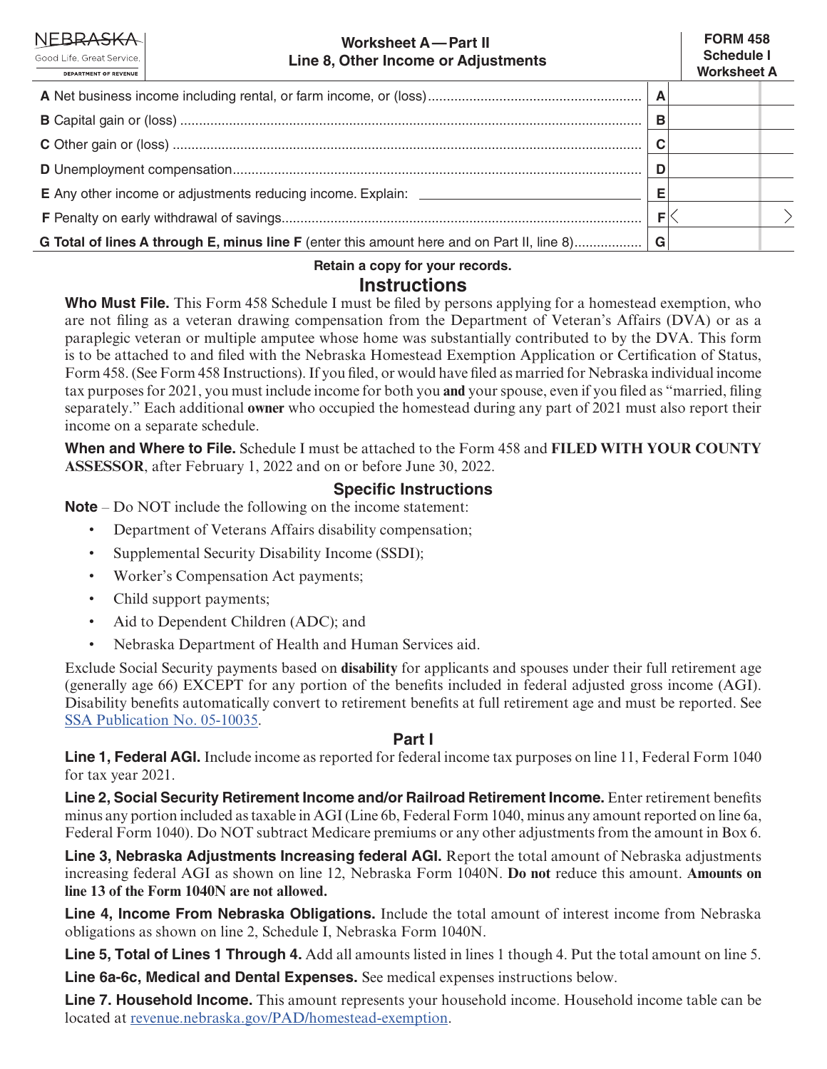| <b>NEBRASKA</b><br><b>Worksheet A-Part II</b><br>Good Life, Great Service.<br>Line 8, Other Income or Adjustments<br><b>DEPARTMENT OF REVENUE</b> |  | <b>FORM 458</b><br><b>Schedule I</b><br><b>Worksheet A</b> |  |
|---------------------------------------------------------------------------------------------------------------------------------------------------|--|------------------------------------------------------------|--|
|                                                                                                                                                   |  |                                                            |  |
|                                                                                                                                                   |  |                                                            |  |
|                                                                                                                                                   |  |                                                            |  |
|                                                                                                                                                   |  |                                                            |  |
|                                                                                                                                                   |  |                                                            |  |
|                                                                                                                                                   |  |                                                            |  |
| G Total of lines A through E, minus line F (enter this amount here and on Part II, line 8)                                                        |  |                                                            |  |

**Retain a copy for your records.**

### **Instructions**

**Who Must File.** This Form 458 Schedule I must be filed by persons applying for a homestead exemption, who are not filing as a veteran drawing compensation from the Department of Veteran's Affairs (DVA) or as a paraplegic veteran or multiple amputee whose home was substantially contributed to by the DVA. This form is to be attached to and filed with the Nebraska Homestead Exemption Application or Certification of Status, Form 458. (See Form 458 Instructions). If you filed, or would have filed as married for Nebraska individual income tax purposes for 2021, you must include income for both you **and** your spouse, even if you filed as "married, filing separately." Each additional **owner** who occupied the homestead during any part of 2021 must also report their income on a separate schedule.

**When and Where to File.** Schedule I must be attached to the Form 458 and **FILED WITH YOUR COUNTY ASSESSOR**, after February 1, 2022 and on or before June 30, 2022.

# **Specific Instructions**

**Note** – Do NOT include the following on the income statement:

- Department of Veterans Affairs disability compensation;
- Supplemental Security Disability Income (SSDI);
- Worker's Compensation Act payments;
- Child support payments;
- Aid to Dependent Children (ADC); and
- Nebraska Department of Health and Human Services aid.

Exclude Social Security payments based on **disability** for applicants and spouses under their full retirement age (generally age 66) EXCEPT for any portion of the benefits included in federal adjusted gross income (AGI). Disability benefits automatically convert to retirement benefits at full retirement age and must be reported. See [SSA Publication No. 05-10035.](https://www.ssa.gov/pubs/EN-05-10035.pdf)

# **Part I**

**Line 1, Federal AGI.** Include income as reported for federal income tax purposes on line 11, Federal Form 1040 for tax year 2021.

**Line 2, Social Security Retirement Income and/or Railroad Retirement Income.** Enter retirement benefits minus any portion included as taxable in AGI (Line 6b, Federal Form 1040, minus any amount reported on line 6a, Federal Form 1040). Do NOT subtract Medicare premiums or any other adjustments from the amount in Box 6.

**Line 3, Nebraska Adjustments Increasing federal AGI.** Report the total amount of Nebraska adjustments increasing federal AGI as shown on line 12, Nebraska Form 1040N. **Do not** reduce this amount. **Amounts on line 13 of the Form 1040N are not allowed.** 

**Line 4, Income From Nebraska Obligations.** Include the total amount of interest income from Nebraska obligations as shown on line 2, Schedule I, Nebraska Form 1040N.

**Line 5, Total of Lines 1 Through 4.** Add all amounts listed in lines 1 though 4. Put the total amount on line 5.

**Line 6a-6c, Medical and Dental Expenses.** See medical expenses instructions below.

**Line 7. Household Income.** This amount represents your household income. Household income table can be located at [revenue.nebraska.gov/PAD/homestead-exemption.](https://revenue.nebraska.gov/PAD/homestead-exemption)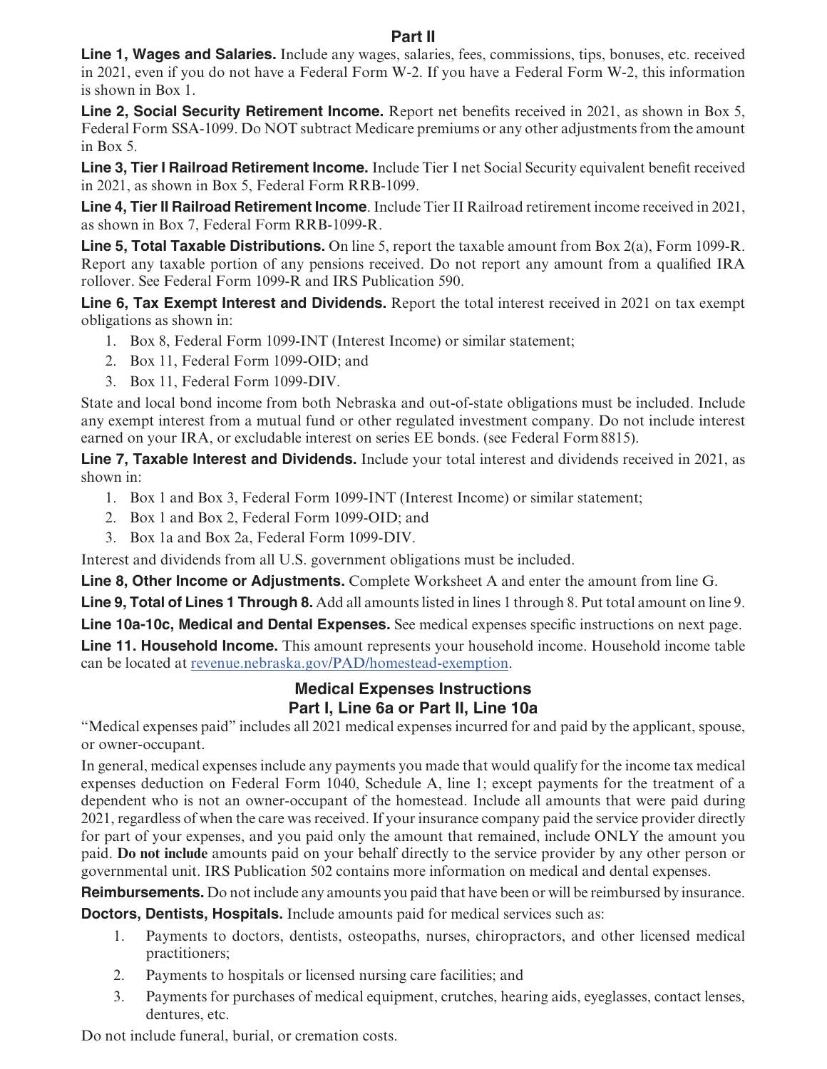### **Part II**

**Line 1, Wages and Salaries.** Include any wages, salaries, fees, commissions, tips, bonuses, etc. received in 2021, even if you do not have a Federal Form W-2. If you have a Federal Form W-2, this information is shown in Box 1.

**Line 2, Social Security Retirement Income.** Report net benefits received in 2021, as shown in Box 5, Federal Form SSA-1099. Do NOT subtract Medicare premiums or any other adjustments from the amount in Box 5.

**Line 3, Tier I Railroad Retirement Income.** Include Tier I net Social Security equivalent benefit received in 2021, as shown in Box 5, Federal Form RRB-1099.

**Line 4, Tier II Railroad Retirement Income**. Include Tier II Railroad retirement income received in 2021, as shown in Box 7, Federal Form RRB-1099-R.

**Line 5, Total Taxable Distributions.** On line 5, report the taxable amount from Box 2(a), Form 1099-R. Report any taxable portion of any pensions received. Do not report any amount from a qualified IRA rollover. See Federal Form 1099-R and IRS Publication 590.

**Line 6, Tax Exempt Interest and Dividends.** Report the total interest received in 2021 on tax exempt obligations as shown in:

- 1. Box 8, Federal Form 1099-INT (Interest Income) or similar statement;
- 2. Box 11, Federal Form 1099-OID; and
- 3. Box 11, Federal Form 1099-DIV.

State and local bond income from both Nebraska and out-of-state obligations must be included. Include any exempt interest from a mutual fund or other regulated investment company. Do not include interest earned on your IRA, or excludable interest on series EE bonds. (see Federal Form8815).

**Line 7, Taxable Interest and Dividends.** Include your total interest and dividends received in 2021, as shown in:

- 1. Box 1 and Box 3, Federal Form 1099-INT (Interest Income) or similar statement;
- 2. Box 1 and Box 2, Federal Form 1099-OID; and
- 3. Box 1a and Box 2a, Federal Form 1099-DIV.

Interest and dividends from all U.S. government obligations must be included.

**Line 8, Other Income or Adjustments.** Complete Worksheet A and enter the amount from line G.

**Line 9, Total of Lines 1 Through 8.** Add all amounts listed in lines 1 through 8. Put total amount on line 9.

**Line 10a-10c, Medical and Dental Expenses.** See medical expenses specific instructions on next page.

**Line 11. Household Income.** This amount represents your household income. Household income table can be located at [revenue.nebraska.gov/PAD/homestead-exemption.](https://revenue.nebraska.gov/PAD/homestead-exemption)

> **Medical Expenses Instructions Part I, Line 6a or Part II, Line 10a**

"Medical expenses paid" includes all 2021 medical expenses incurred for and paid by the applicant, spouse, or owner-occupant.

In general, medical expenses include any payments you made that would qualify for the income tax medical expenses deduction on Federal Form 1040, Schedule A, line 1; except payments for the treatment of a dependent who is not an owner-occupant of the homestead. Include all amounts that were paid during 2021, regardless of when the care was received. If your insurance company paid the service provider directly for part of your expenses, and you paid only the amount that remained, include ONLY the amount you paid. **Do not include** amounts paid on your behalf directly to the service provider by any other person or governmental unit. IRS Publication 502 contains more information on medical and dental expenses.

**Reimbursements.** Do not include any amounts you paid that have been or will be reimbursed by insurance.

**Doctors, Dentists, Hospitals.** Include amounts paid for medical services such as:

- 1. Payments to doctors, dentists, osteopaths, nurses, chiropractors, and other licensed medical practitioners;
- 2. Payments to hospitals or licensed nursing care facilities; and
- 3. Payments for purchases of medical equipment, crutches, hearing aids, eyeglasses, contact lenses, dentures, etc.

Do not include funeral, burial, or cremation costs.